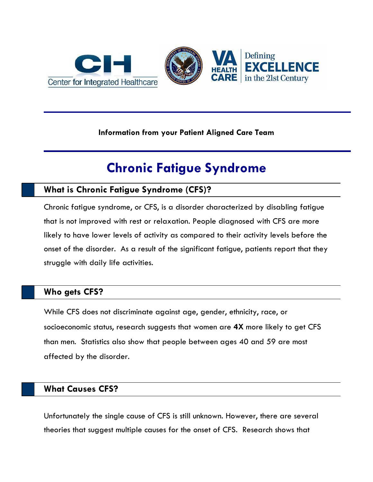

#### **Information from your Patient Aligned Care Team**

# **Chronic Fatigue Syndrome**

# **What is Chronic Fatigue Syndrome (CFS)?**

Chronic fatigue syndrome, or CFS, is a disorder characterized by disabling fatigue that is not improved with rest or relaxation. People diagnosed with CFS are more likely to have lower levels of activity as compared to their activity levels before the onset of the disorder. As a result of the significant fatigue, patients report that they struggle with daily life activities.

# **Who gets CFS?**

While CFS does not discriminate against age, gender, ethnicity, race, or socioeconomic status, research suggests that women are **4X** more likely to get CFS than men. Statistics also show that people between ages 40 and 59 are most affected by the disorder.

## **What Causes CFS?**

Unfortunately the single cause of CFS is still unknown. However, there are several theories that suggest multiple causes for the onset of CFS. Research shows that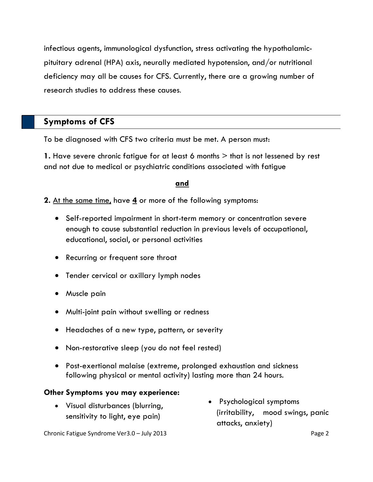infectious agents, immunological dysfunction, stress activating the hypothalamicpituitary adrenal (HPA) axis, neurally mediated hypotension, and/or nutritional deficiency may all be causes for CFS. Currently, there are a growing number of research studies to address these causes.

# **Symptoms of CFS**

To be diagnosed with CFS two criteria must be met. A person must:

**1.** Have severe chronic fatigue for at least 6 months  $>$  that is not lessened by rest and not due to medical or psychiatric conditions associated with fatigue

## **and**

**2.** At the same time, have **4** or more of the following symptoms:

- Self-reported impairment in short-term memory or concentration severe enough to cause substantial reduction in previous levels of occupational, educational, social, or personal activities
- Recurring or frequent sore throat
- Tender cervical or axillary lymph nodes
- Muscle pain
- Multi-joint pain without swelling or redness
- Headaches of a new type, pattern, or severity
- Non-restorative sleep (you do not feel rested)
- Post-exertional malaise (extreme, prolonged exhaustion and sickness following physical or mental activity) lasting more than 24 hours.

#### **Other Symptoms you may experience:**

- Visual disturbances (blurring, sensitivity to light, eye pain)
- Psychological symptoms (irritability, mood swings, panic attacks, anxiety)

Chronic Fatigue Syndrome Ver3.0 – July 2013 **Page 2** Page 2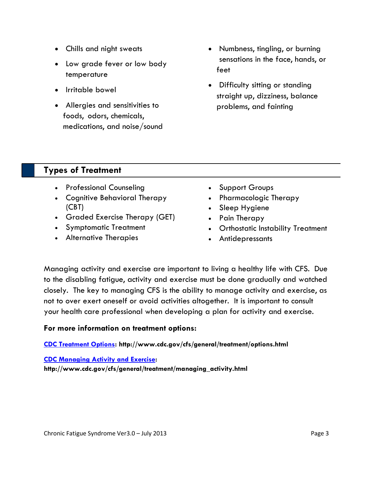- Chills and night sweats
- Low grade fever or low body temperature
- Irritable bowel
- Allergies and sensitivities to foods, odors, chemicals, medications, and noise/sound
- Numbness, tingling, or burning sensations in the face, hands, or feet
- Difficulty sitting or standing straight up, dizziness, balance problems, and fainting

# **Types of Treatment**

- Professional Counseling
- Cognitive Behavioral Therapy (CBT)
- Graded Exercise Therapy (GET)
- Symptomatic Treatment
- Alternative Therapies
- Support Groups
- Pharmacologic Therapy
- Sleep Hygiene
- Pain Therapy
- Orthostatic Instability Treatment
- Antidepressants

Managing activity and exercise are important to living a healthy life with CFS. Due to the disabling fatigue, activity and exercise must be done gradually and watched closely. The key to managing CFS is the ability to manage activity and exercise, as not to over exert oneself or avoid activities altogether. It is important to consult your health care professional when developing a plan for activity and exercise.

## **For more information on treatment options:**

**[CDC Treatment Options:](http://www.cdc.gov/cfs/general/treatment/options.html) http://www.cdc.gov/cfs/general/treatment/options.html**

**[CDC Managing Activity and Exercise:](http://www.cdc.gov/cfs/general/treatment/managing_activity.html) http://www.cdc.gov/cfs/general/treatment/managing\_activity.html**